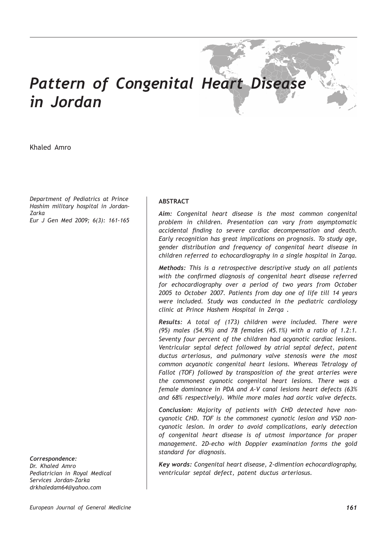# *Pattern of Congenital Heart Disease in Jordan*

Khaled Amro

*Department of Pediatrics at Prince Hashim military hospital in Jordan-Zarka Eur J Gen Med 2009; 6(3): 161-165*

*Correspondence: Dr. Khaled Amro Pediatrician in Royal Medical Services Jordan-Zarka drkhaledam64@yahoo.com*

# **ABSTRACT**

*Aim: Congenital heart disease is the most common congenital problem in children. Presentation can vary from asymptomatic accidental finding to severe cardiac decompensation and death. Early recognition has great implications on prognosis. To study age, gender distribution and frequency of congenital heart disease in children referred to echocardiography in a single hospital in Zarqa.*

*Methods: This is a retrospective descriptive study on all patients with the confirmed diagnosis of congenital heart disease referred for echocardiography over a period of two years from October 2005 to October 2007. Patients from day one of life till 14 years were included. Study was conducted in the pediatric cardiology clinic at Prince Hashem Hospital in Zerqa .*

*Results: A total of (173) children were included. There were (95) males (54.9%) and 78 females (45.1%) with a ratio of 1.2:1. Seventy four percent of the children had acyanotic cardiac lesions. Ventricular septal defect followed by atrial septal defect, patent ductus arteriosus, and pulmonary valve stenosis were the most common acyanotic congenital heart lesions. Whereas Tetralogy of Fallot (TOF) followed by transposition of the great arteries were the commonest cyanotic congenital heart lesions. There was a female dominance in PDA and A-V canal lesions heart defects (63% and 68% respectively). While more males had aortic valve defects.* 

*Conclusion: Majority of patients with CHD detected have noncyanotic CHD. TOF is the commonest cyanotic lesion and VSD noncyanotic lesion. In order to avoid complications, early detection of congenital heart disease is of utmost importance for proper management. 2D-echo with Doppler examination forms the gold standard for diagnosis.*

*Key words: Congenital heart disease, 2-dimention echocardiography, ventricular septal defect, patent ductus arteriosus.*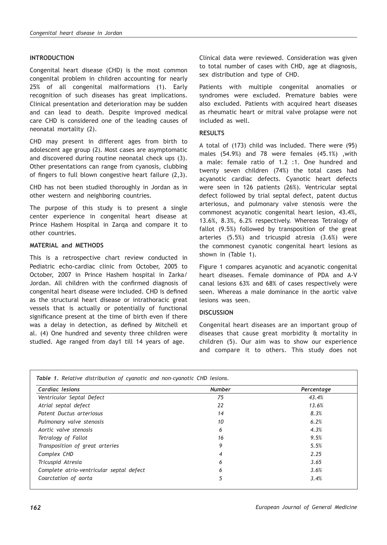# **INTRODUCTION**

Congenital heart disease (CHD) is the most common congenital problem in children accounting for nearly 25% of all congenital malformations (1). Early recognition of such diseases has great implications. Clinical presentation and deterioration may be sudden and can lead to death. Despite improved medical care CHD is considered one of the leading causes of neonatal mortality (2).

CHD may present in different ages from birth to adolescent age group (2). Most cases are asymptomatic and discovered during routine neonatal check ups (3). Other presentations can range from cyanosis, clubbing of fingers to full blown congestive heart failure (2,3).

CHD has not been studied thoroughly in Jordan as in other western and neighboring countries.

The purpose of this study is to present a single center experience in congenital heart disease at Prince Hashem Hospital in Zarqa and compare it to other countries.

### **MATERIAL and METHODS**

This is a retrospective chart review conducted in Pediatric echo-cardiac clinic from October, 2005 to October, 2007 in Prince Hashem hospital in Zarka/ Jordan. All children with the confirmed diagnosis of congenital heart disease were included. CHD is defined as the structural heart disease or intrathoracic great vessels that is actually or potentially of functional significance present at the time of birth even if there was a delay in detection, as defined by Mitchell et al. (4) One hundred and seventy three children were studied. Age ranged from day1 till 14 years of age.

Clinical data were reviewed. Consideration was given to total number of cases with CHD, age at diagnosis, sex distribution and type of CHD.

Patients with multiple congenital anomalies or syndromes were excluded. Premature babies were also excluded. Patients with acquired heart diseases as rheumatic heart or mitral valve prolapse were not included as well.

#### **RESULTS**

A total of (173) child was included. There were (95) males (54.9%) and 78 were females (45.1%) ,with a male: female ratio of 1.2 :1. One hundred and twenty seven children (74%) the total cases had acyanotic cardiac defects. Cyanotic heart defects were seen in 126 patients (26%). Ventricular septal defect followed by trial septal defect, patent ductus arteriosus, and pulmonary valve stenosis were the commonest acyanotic congenital heart lesion, 43.4%, 13.6%, 8.3%, 6.2% respectively. Whereas Tetralogy of fallot (9.5%) followed by transposition of the great arteries (5.5%) and tricuspid atresia (3.6%) were the commonest cyanotic congenital heart lesions as shown in (Table 1).

Figure 1 compares acyanotic and acyanotic congenital heart diseases. Female dominance of PDA and A-V canal lesions 63% and 68% of cases respectively were seen. Whereas a male dominance in the aortic valve lesions was seen.

#### **DISCUSSION**

Congenital heart diseases are an important group of diseases that cause great morbidity & mortality in children (5). Our aim was to show our experience and compare it to others. This study does not

| Cardiac lesions                          | <b>Number</b> | Percentage |
|------------------------------------------|---------------|------------|
| Ventricular Septal Defect                | 75            | 43.4%      |
| Atrial septal defect                     | 22            | 13.6%      |
| Patent Ductus arteriosus                 | 14            | 8.3%       |
| Pulmonary valve stenosis                 | 10            | 6.2%       |
| Aortic valve stenosis                    | 6             | 4.3%       |
| Tetralogy of Fallot                      | 16            | 9.5%       |
| Transposition of great arteries          | 9             | 5.5%       |
| Complex CHD                              | 4             | 2.25       |
| Tricuspid Atresia                        | 6             | 3.65       |
| Complete atrio-ventricular septal defect | 6             | 3.6%       |
| Coarctation of aorta                     | 5             | 3.4%       |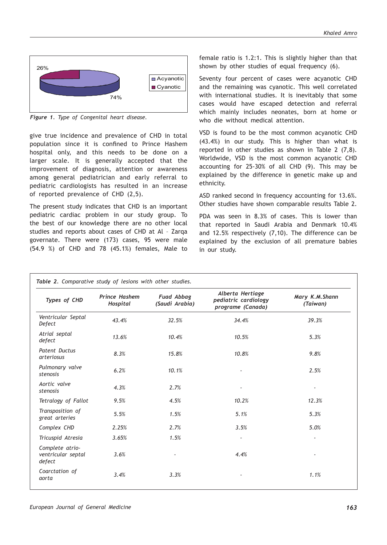

*Figure 1. Type of Congenital heart disease.*

give true incidence and prevalence of CHD in total population since it is confined to Prince Hashem hospital only, and this needs to be done on a larger scale. It is generally accepted that the improvement of diagnosis, attention or awareness among general pediatrician and early referral to pediatric cardiologists has resulted in an increase of reported prevalence of CHD (2,5).

The present study indicates that CHD is an important pediatric cardiac problem in our study group. To the best of our knowledge there are no other local studies and reports about cases of CHD at Al – Zarqa governate. There were (173) cases, 95 were male (54.9 %) of CHD and 78 (45.1%) females, Male to

female ratio is 1.2:1. This is slightly higher than that shown by other studies of equal frequency (6).

Seventy four percent of cases were acyanotic CHD and the remaining was cyanotic. This well correlated with international studies. It is inevitably that some cases would have escaped detection and referral which mainly includes neonates, born at home or who die without medical attention.

VSD is found to be the most common acyanotic CHD (43.4%) in our study. This is higher than what is reported in other studies as shown in Table 2 (7,8). Worldwide, VSD is the most common acyanotic CHD accounting for 25-30% of all CHD (9). This may be explained by the difference in genetic make up and ethnicity.

ASD ranked second in frequency accounting for 13.6%. Other studies have shown comparable results Table 2.

PDA was seen in 8.3% of cases. This is lower than that reported in Saudi Arabia and Denmark 10.4% and 12.5% respectively (7,10). The difference can be explained by the exclusion of all premature babies in our study.

| Types of CHD                                    | <b>Prince Hashem</b><br>Hospital | <b>Fuad Abbag</b><br>(Saudi Arabia) | Alberta Hertiage<br>pediatric cardiology<br>programe (Canada) | Mary K.M.Shann<br>(Taiwan) |
|-------------------------------------------------|----------------------------------|-------------------------------------|---------------------------------------------------------------|----------------------------|
| Ventricular Septal<br>Defect                    | 43.4%                            | 32.5%                               | 34.4%                                                         | 39.3%                      |
| Atrial septal<br>defect                         | 13.6%                            | 10.4%                               | 10.5%                                                         | 5.3%                       |
| <b>Patent Ductus</b><br>arteriosus              | 8.3%                             | 15.8%                               | 10.8%                                                         | 9.8%                       |
| Pulmonary valve<br>stenosis                     | 6.2%                             | 10.1%                               |                                                               | 2.5%                       |
| Aortic valve<br>stenosis                        | 4.3%                             | 2.7%                                |                                                               |                            |
| Tetralogy of Fallot                             | 9.5%                             | 4.5%                                | 10.2%                                                         | 12.3%                      |
| Transposition of<br>great arteries              | 5.5%                             | 1.5%                                | 5.1%                                                          | 5.3%                       |
| Complex CHD                                     | 2.25%                            | 2.7%                                | 3.5%                                                          | 5.0%                       |
| Tricuspid Atresia                               | 3.65%                            | 1.5%                                |                                                               | $\overline{\phantom{a}}$   |
| Complete atrio-<br>ventricular septal<br>defect | 3.6%                             |                                     | 4.4%                                                          |                            |
| Coarctation of<br>aorta                         | 3.4%                             | 3.3%                                |                                                               | 1.1%                       |
|                                                 |                                  |                                     |                                                               |                            |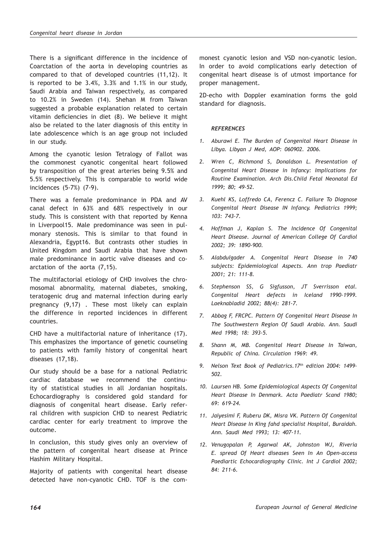There is a significant difference in the incidence of Coarctation of the aorta in developing countries as compared to that of developed countries (11,12). It is reported to be 3.4%, 3.3% and 1.1% in our study, Saudi Arabia and Taiwan respectively, as compared to 10.2% in Sweden (14). Shehan M from Taiwan suggested a probable explanation related to certain vitamin deficiencies in diet (8). We believe it might also be related to the later diagnosis of this entity in late adolescence which is an age group not included in our study.

Among the cyanotic lesion Tetralogy of Fallot was the commonest cyanotic congenital heart followed by transposition of the great arteries being 9.5% and 5.5% respectively. This is comparable to world wide incidences (5-7%) (7-9).

There was a female predominance in PDA and AV canal defect in 63% and 68% respectively in our study. This is consistent with that reported by Kenna in Liverpool15. Male predominance was seen in pulmonary stenosis. This is similar to that found in Alexandria, Egypt16. But contrasts other studies in United Kingdom and Saudi Arabia that have shown male predominance in aortic valve diseases and coarctation of the aorta (7,15).

The multifactorial etiology of CHD involves the chromosomal abnormality, maternal diabetes, smoking, teratogenic drug and maternal infection during early pregnancy (9,17) . These most likely can explain the difference in reported incidences in different countries.

CHD have a multifactorial nature of inheritance (17). This emphasizes the importance of genetic counseling to patients with family history of congenital heart diseases (17,18).

Our study should be a base for a national Pediatric cardiac database we recommend the continuity of statistical studies in all Jordanian hospitals. Echocardiography is considered gold standard for diagnosis of congenital heart disease. Early referral children with suspicion CHD to nearest Pediatric cardiac center for early treatment to improve the outcome.

In conclusion, this study gives only an overview of the pattern of congenital heart disease at Prince Hashim Military Hospital.

Majority of patients with congenital heart disease detected have non-cyanotic CHD. TOF is the commonest cyanotic lesion and VSD non-cyanotic lesion. In order to avoid complications early detection of congenital heart disease is of utmost importance for proper management.

2D-echo with Doppler examination forms the gold standard for diagnosis.

## *REFERENCES*

- *1. Aburawi E. The Burden of Congenital Heart Disease in Libya. Libyan J Med, AOP: 060902. 2006.*
- *2. Wren C, Richmond S, Donaldson L. Presentation of Congenital Heart Disease in Infancy: Implications for Routine Examination. Arch Dis.Child Fetal Neonatal Ed 1999; 80; 49-52.*
- *3. Kuehl KS, Loffredo CA, Ferencz C. Failure To Diagnose Congenital Heart Disease IN Infancy. Pediatrics 1999; 103: 743-7.*
- *4. Hoffman J, Kaplan S. The Incidence Of Congenital Heart Disease. Journal of American College Of Cardiol 2002; 39: 1890-900.*
- *5. Alabdulgader A. Congenital Heart Disease in 740 subjects: Epidemiological Aspects. Ann trop Paediatr 2001; 21: 111-8.*
- *6. Stephenson SS, G Sigfusson, JT Sverrisson etal. Congenital Heart defects in Iceland 1990-1999. Laeknabladid 2002; 88(4): 281-7.*
- *7. Abbag F, FRCPC. Pattern Of Congenital Heart Disease In The Southwestern Region Of Saudi Arabia. Ann. Saudi Med 1998; 18: 393-5.*
- *8. Shann M, MB. Congenital Heart Disease In Taiwan, Republic of China. Circulation 1969: 49.*
- *9. Nelson Text Book of Pediatrics.17th edition 2004: 1499- 502.*
- *10. Laursen HB. Some Epidemiological Aspects Of Congenital Heart Disease In Denmark. Acta Paediatr Scand 1980; 69: 619-24.*
- *11. Jaiyesimi F, Ruberu DK, Misra VK. Pattern Of Congenital Heart Disease In King fahd specialist Hospital, Buraidah. Ann. Saudi Med 1993; 13: 407-11.*
- *12. Venugopalan P, Agarwal AK, Johnston WJ, Riveria E. spread Of Heart diseases Seen In An Open-access Paediartic Echocardiography Clinic. Int J Cardiol 2002; 84: 211-6.*